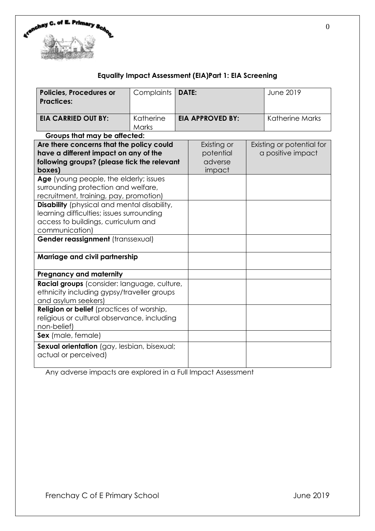

# **Equality Impact Assessment (EIA)Part 1: EIA Screening**

| <b>Policies, Procedures or</b><br><b>Practices:</b>                                                                                                                                           | Complaints         | <b>DATE:</b> |                                               | <b>June 2019</b> |                                                |  |  |
|-----------------------------------------------------------------------------------------------------------------------------------------------------------------------------------------------|--------------------|--------------|-----------------------------------------------|------------------|------------------------------------------------|--|--|
| <b>EIA CARRIED OUT BY:</b>                                                                                                                                                                    | Katherine<br>Marks |              | <b>EIA APPROVED BY:</b>                       |                  | <b>Katherine Marks</b>                         |  |  |
| Groups that may be affected:                                                                                                                                                                  |                    |              |                                               |                  |                                                |  |  |
| Are there concerns that the policy could<br>have a different impact on any of the<br>following groups? (please tick the relevant<br>boxes)                                                    |                    |              | Existing or<br>potential<br>adverse<br>impact |                  | Existing or potential for<br>a positive impact |  |  |
| Age (young people, the elderly; issues<br>surrounding protection and welfare,<br>recruitment, training, pay, promotion)                                                                       |                    |              |                                               |                  |                                                |  |  |
| <b>Disability</b> (physical and mental disability,<br>learning difficulties; issues surrounding<br>access to buildings, curriculum and<br>communication)<br>Gender reassignment (transsexual) |                    |              |                                               |                  |                                                |  |  |
| Marriage and civil partnership                                                                                                                                                                |                    |              |                                               |                  |                                                |  |  |
| <b>Pregnancy and maternity</b>                                                                                                                                                                |                    |              |                                               |                  |                                                |  |  |
| Racial groups (consider: language, culture,<br>ethnicity including gypsy/traveller groups<br>and asylum seekers)                                                                              |                    |              |                                               |                  |                                                |  |  |
| <b>Religion or belief</b> (practices of worship,<br>religious or cultural observance, including<br>non-belief)                                                                                |                    |              |                                               |                  |                                                |  |  |
| Sex (male, female)                                                                                                                                                                            |                    |              |                                               |                  |                                                |  |  |
| Sexual orientation (gay, lesbian, bisexual;<br>actual or perceived)                                                                                                                           |                    |              |                                               |                  |                                                |  |  |

Any adverse impacts are explored in a Full Impact Assessment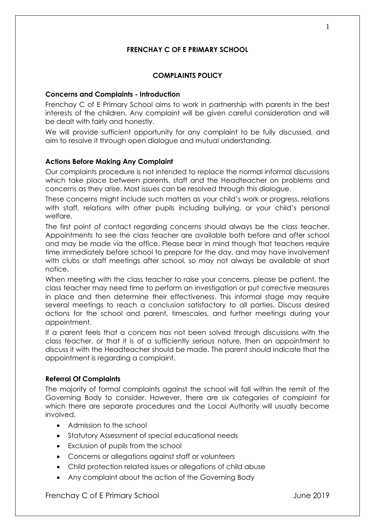## **FRENCHAY C OF E PRIMARY SCHOOL**

#### **COMPLAINTS POLICY**

#### **Concerns and Complaints - Introduction**

Frenchay C of E Primary School aims to work in partnership with parents in the best interests of the children. Any complaint will be given careful consideration and will be dealt with fairly and honestly.

We will provide sufficient opportunity for any complaint to be fully discussed, and aim to resolve it through open dialogue and mutual understanding.

#### **Actions Before Making Any Complaint**

Our complaints procedure is not intended to replace the normal informal discussions which take place between parents, staff and the Headteacher on problems and concerns as they arise. Most issues can be resolved through this dialogue.

These concerns might include such matters as your child's work or progress, relations with staff, relations with other pupils including bullying, or your child's personal welfare.

The first point of contact regarding concerns should always be the class teacher. Appointments to see the class teacher are available both before and after school and may be made via the office. Please bear in mind though that teachers require time immediately before school to prepare for the day, and may have involvement with clubs or staff meetings after school, so may not always be available at short notice.

When meeting with the class teacher to raise your concerns, please be patient, the class teacher may need time to perform an investigation or put corrective measures in place and then determine their effectiveness. This informal stage may require several meetings to reach a conclusion satisfactory to all parties. Discuss desired actions for the school and parent, timescales, and further meetings during your appointment.

If a parent feels that a concern has not been solved through discussions with the class teacher, or that it is of a sufficiently serious nature, then an appointment to discuss it with the Headteacher should be made. The parent should indicate that the appointment is regarding a complaint.

#### **Referral Of Complaints**

The majority of formal complaints against the school will fall within the remit of the Governing Body to consider. However, there are six categories of complaint for which there are separate procedures and the Local Authority will usually become involved.

- Admission to the school
- Statutory Assessment of special educational needs
- Exclusion of pupils from the school
- Concerns or allegations against staff or volunteers
- Child protection related issues or allegations of child abuse
- Any complaint about the action of the Governing Body

#### Frenchay C of E Primary School and The Theorem 10 September 2019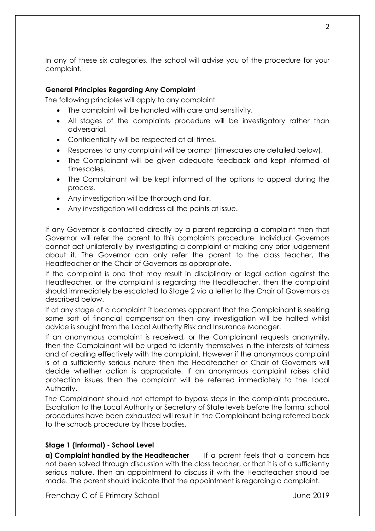In any of these six categories, the school will advise you of the procedure for your complaint.

### **General Principles Regarding Any Complaint**

The following principles will apply to any complaint

- The complaint will be handled with care and sensitivity.
- All stages of the complaints procedure will be investigatory rather than adversarial.
- Confidentiality will be respected at all times.
- Responses to any complaint will be prompt (timescales are detailed below).
- The Complainant will be given adequate feedback and kept informed of timescales.
- The Complainant will be kept informed of the options to appeal during the process.
- Any investigation will be thorough and fair.
- Any investigation will address all the points at issue.

If any Governor is contacted directly by a parent regarding a complaint then that Governor will refer the parent to this complaints procedure. Individual Governors cannot act unilaterally by investigating a complaint or making any prior judgement about it. The Governor can only refer the parent to the class teacher, the Headteacher or the Chair of Governors as appropriate.

If the complaint is one that may result in disciplinary or legal action against the Headteacher, or the complaint is regarding the Headteacher, then the complaint should immediately be escalated to Stage 2 via a letter to the Chair of Governors as described below.

If at any stage of a complaint it becomes apparent that the Complainant is seeking some sort of financial compensation then any investigation will be halted whilst advice is sought from the Local Authority Risk and Insurance Manager.

If an anonymous complaint is received, or the Complainant requests anonymity, then the Complainant will be urged to identify themselves in the interests of fairness and of dealing effectively with the complaint. However if the anonymous complaint is of a sufficiently serious nature then the Headteacher or Chair of Governors will decide whether action is appropriate. If an anonymous complaint raises child protection issues then the complaint will be referred immediately to the Local Authority.

The Complainant should not attempt to bypass steps in the complaints procedure. Escalation to the Local Authority or Secretary of State levels before the formal school procedures have been exhausted will result in the Complainant being referred back to the schools procedure by those bodies.

#### **Stage 1 (Informal) - School Level**

**a) Complaint handled by the Headteacher** If a parent feels that a concern has not been solved through discussion with the class teacher, or that it is of a sufficiently serious nature, then an appointment to discuss it with the Headteacher should be made. The parent should indicate that the appointment is regarding a complaint.

Frenchay C of E Primary School and The Theorem 10 September 2019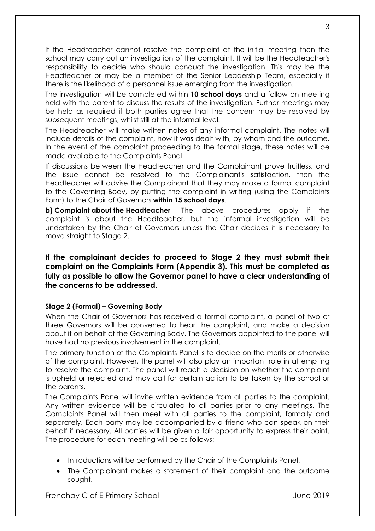If the Headteacher cannot resolve the complaint at the initial meeting then the school may carry out an investigation of the complaint. It will be the Headteacher's responsibility to decide who should conduct the investigation. This may be the Headteacher or may be a member of the Senior Leadership Team, especially if there is the likelihood of a personnel issue emerging from the investigation.

The investigation will be completed within **10 school days** and a follow on meeting held with the parent to discuss the results of the investigation. Further meetings may be held as required if both parties agree that the concern may be resolved by subsequent meetings, whilst still at the informal level.

The Headteacher will make written notes of any informal complaint. The notes will include details of the complaint, how it was dealt with, by whom and the outcome. In the event of the complaint proceeding to the formal stage, these notes will be made available to the Complaints Panel.

If discussions between the Headteacher and the Complainant prove fruitless, and the issue cannot be resolved to the Complainant's satisfaction, then the Headteacher will advise the Complainant that they may make a formal complaint to the Governing Body, by putting the complaint in writing (using the Complaints Form) to the Chair of Governors **within 15 school days**.

**b) Complaint about the Headteacher** The above procedures apply if the complaint is about the Headteacher, but the informal investigation will be undertaken by the Chair of Governors unless the Chair decides it is necessary to move straight to Stage 2.

## **If the complainant decides to proceed to Stage 2 they must submit their complaint on the Complaints Form (Appendix 3). This must be completed as fully as possible to allow the Governor panel to have a clear understanding of the concerns to be addressed.**

## **Stage 2 (Formal) – Governing Body**

When the Chair of Governors has received a formal complaint, a panel of two or three Governors will be convened to hear the complaint, and make a decision about it on behalf of the Governing Body. The Governors appointed to the panel will have had no previous involvement in the complaint.

The primary function of the Complaints Panel is to decide on the merits or otherwise of the complaint. However, the panel will also play an important role in attempting to resolve the complaint. The panel will reach a decision on whether the complaint is upheld or rejected and may call for certain action to be taken by the school or the parents.

The Complaints Panel will invite written evidence from all parties to the complaint. Any written evidence will be circulated to all parties prior to any meetings. The Complaints Panel will then meet with all parties to the complaint, formally and separately. Each party may be accompanied by a friend who can speak on their behalf if necessary. All parties will be given a fair opportunity to express their point. The procedure for each meeting will be as follows:

- Introductions will be performed by the Chair of the Complaints Panel.
- The Complainant makes a statement of their complaint and the outcome sought.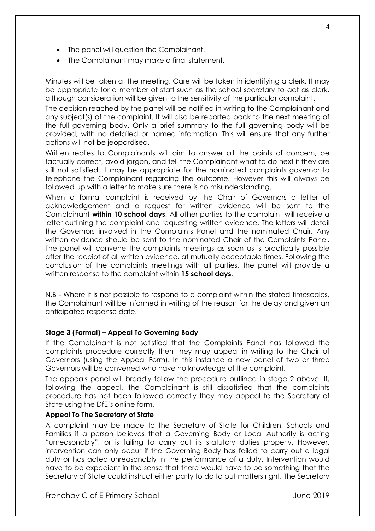- The panel will question the Complainant.
- The Complainant may make a final statement.

Minutes will be taken at the meeting. Care will be taken in identifying a clerk. It may be appropriate for a member of staff such as the school secretary to act as clerk, although consideration will be given to the sensitivity of the particular complaint.

The decision reached by the panel will be notified in writing to the Complainant and any subject(s) of the complaint. It will also be reported back to the next meeting of the full governing body. Only a brief summary to the full governing body will be provided, with no detailed or named information. This will ensure that any further actions will not be jeopardised.

Written replies to Complainants will aim to answer all the points of concern, be factually correct, avoid jargon, and tell the Complainant what to do next if they are still not satisfied. It may be appropriate for the nominated complaints governor to telephone the Complainant regarding the outcome. However this will always be followed up with a letter to make sure there is no misunderstanding.

When a formal complaint is received by the Chair of Governors a letter of acknowledgement and a request for written evidence will be sent to the Complainant **within 10 school days**. All other parties to the complaint will receive a letter outlining the complaint and requesting written evidence. The letters will detail the Governors involved in the Complaints Panel and the nominated Chair. Any written evidence should be sent to the nominated Chair of the Complaints Panel. The panel will convene the complaints meetings as soon as is practically possible after the receipt of all written evidence, at mutually acceptable times. Following the conclusion of the complaints meetings with all parties, the panel will provide a written response to the complaint within **15 school days**.

N.B - Where it is not possible to respond to a complaint within the stated timescales, the Complainant will be informed in writing of the reason for the delay and given an anticipated response date.

#### **Stage 3 (Formal) – Appeal To Governing Body**

If the Complainant is not satisfied that the Complaints Panel has followed the complaints procedure correctly then they may appeal in writing to the Chair of Governors (using the Appeal Form). In this instance a new panel of two or three Governors will be convened who have no knowledge of the complaint.

The appeals panel will broadly follow the procedure outlined in stage 2 above. If, following the appeal, the Complainant is still dissatisfied that the complaints procedure has not been followed correctly they may appeal to the Secretary of State using the DfE's online form.

#### **Appeal To The Secretary of State**

A complaint may be made to the Secretary of State for Children, Schools and Families if a person believes that a Governing Body or Local Authority is acting "unreasonably", or is failing to carry out its statutory duties properly. However, intervention can only occur if the Governing Body has failed to carry out a legal duty or has acted unreasonably in the performance of a duty. Intervention would have to be expedient in the sense that there would have to be something that the Secretary of State could instruct either party to do to put matters right. The Secretary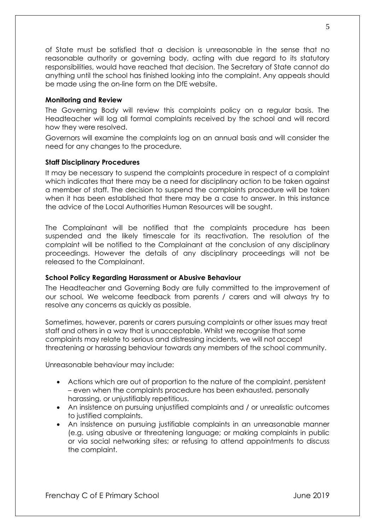of State must be satisfied that a decision is unreasonable in the sense that no reasonable authority or governing body, acting with due regard to its statutory responsibilities, would have reached that decision. The Secretary of State cannot do anything until the school has finished looking into the complaint. Any appeals should be made using the on-line form on the DfE website.

#### **Monitoring and Review**

The Governing Body will review this complaints policy on a regular basis. The Headteacher will log all formal complaints received by the school and will record how they were resolved.

Governors will examine the complaints log on an annual basis and will consider the need for any changes to the procedure.

#### **Staff Disciplinary Procedures**

It may be necessary to suspend the complaints procedure in respect of a complaint which indicates that there may be a need for disciplinary action to be taken against a member of staff. The decision to suspend the complaints procedure will be taken when it has been established that there may be a case to answer. In this instance the advice of the Local Authorities Human Resources will be sought.

The Complainant will be notified that the complaints procedure has been suspended and the likely timescale for its reactivation. The resolution of the complaint will be notified to the Complainant at the conclusion of any disciplinary proceedings. However the details of any disciplinary proceedings will not be released to the Complainant.

#### **School Policy Regarding Harassment or Abusive Behaviour**

The Headteacher and Governing Body are fully committed to the improvement of our school. We welcome feedback from parents / carers and will always try to resolve any concerns as quickly as possible.

Sometimes, however, parents or carers pursuing complaints or other issues may treat staff and others in a way that is unacceptable. Whilst we recognise that some complaints may relate to serious and distressing incidents, we will not accept threatening or harassing behaviour towards any members of the school community.

Unreasonable behaviour may include:

- Actions which are out of proportion to the nature of the complaint, persistent – even when the complaints procedure has been exhausted, personally harassing, or unjustifiably repetitious.
- An insistence on pursuing unjustified complaints and / or unrealistic outcomes to justified complaints.
- An insistence on pursuing justifiable complaints in an unreasonable manner (e.g. using abusive or threatening language; or making complaints in public or via social networking sites; or refusing to attend appointments to discuss the complaint.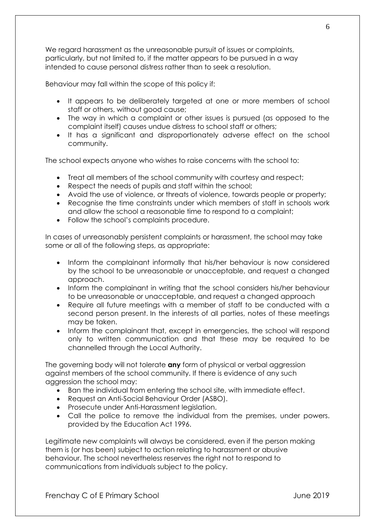We regard harassment as the unreasonable pursuit of issues or complaints, particularly, but not limited to, if the matter appears to be pursued in a way intended to cause personal distress rather than to seek a resolution.

Behaviour may fall within the scope of this policy if:

- It appears to be deliberately targeted at one or more members of school staff or others, without good cause;
- The way in which a complaint or other issues is pursued (as opposed to the complaint itself) causes undue distress to school staff or others;
- It has a significant and disproportionately adverse effect on the school community.

The school expects anyone who wishes to raise concerns with the school to:

- Treat all members of the school community with courtesy and respect;
- Respect the needs of pupils and staff within the school;
- Avoid the use of violence, or threats of violence, towards people or property;
- Recognise the time constraints under which members of staff in schools work and allow the school a reasonable time to respond to a complaint;
- Follow the school's complaints procedure.

In cases of unreasonably persistent complaints or harassment, the school may take some or all of the following steps, as appropriate:

- Inform the complainant informally that his/her behaviour is now considered by the school to be unreasonable or unacceptable, and request a changed approach.
- Inform the complainant in writing that the school considers his/her behaviour to be unreasonable or unacceptable, and request a changed approach
- Require all future meetings with a member of staff to be conducted with a second person present. In the interests of all parties, notes of these meetings may be taken.
- Inform the complainant that, except in emergencies, the school will respond only to written communication and that these may be required to be channelled through the Local Authority.

The governing body will not tolerate **any** form of physical or verbal aggression against members of the school community. If there is evidence of any such aggression the school may:

- Ban the individual from entering the school site, with immediate effect.
- Request an Anti-Social Behaviour Order (ASBO).
- Prosecute under Anti-Harassment legislation.
- Call the police to remove the individual from the premises, under powers. provided by the Education Act 1996.

Legitimate new complaints will always be considered, even if the person making them is (or has been) subject to action relating to harassment or abusive behaviour. The school nevertheless reserves the right not to respond to communications from individuals subject to the policy.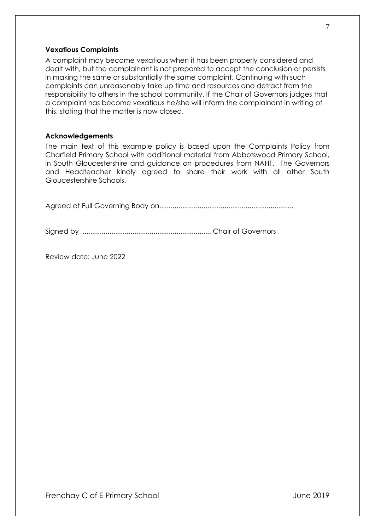#### **Vexatious Complaints**

A complaint may become vexatious when it has been properly considered and dealt with, but the complainant is not prepared to accept the conclusion or persists in making the same or substantially the same complaint. Continuing with such complaints can unreasonably take up time and resources and detract from the responsibility to others in the school community. If the Chair of Governors judges that a complaint has become vexatious he/she will inform the complainant in writing of this, stating that the matter is now closed.

#### **Acknowledgements**

The main text of this example policy is based upon the Complaints Policy from Charfield Primary School with additional material from Abbotswood Primary School, in South Gloucestershire and guidance on procedures from NAHT. The Governors and Headteacher kindly agreed to share their work with all other South Gloucestershire Schools.

Agreed at Full Governing Body on......................................................................

Signed by ................................................................... Chair of Governors

Review date: June 2022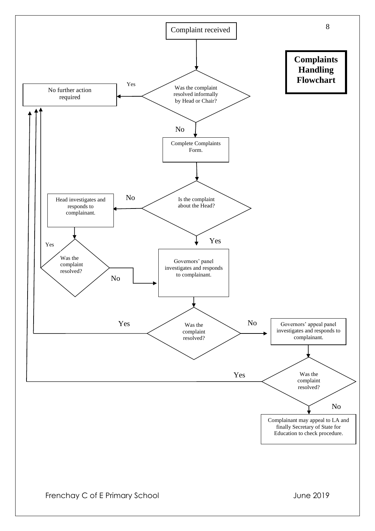

Frenchay C of E Primary School and The Control of the United States of the United States June 2019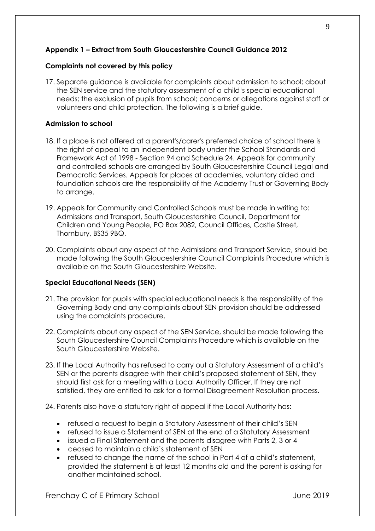## **Appendix 1 – Extract from South Gloucestershire Council Guidance 2012**

### **Complaints not covered by this policy**

17. Separate guidance is available for complaints about admission to school; about the SEN service and the statutory assessment of a child's special educational needs; the exclusion of pupils from school; concerns or allegations against staff or volunteers and child protection. The following is a brief guide.

### **Admission to school**

- 18. If a place is not offered at a parent's/carer's preferred choice of school there is the right of appeal to an independent body under the School Standards and Framework Act of 1998 - Section 94 and Schedule 24. Appeals for community and controlled schools are arranged by South Gloucestershire Council Legal and Democratic Services. Appeals for places at academies, voluntary aided and foundation schools are the responsibility of the Academy Trust or Governing Body to arrange.
- 19. Appeals for Community and Controlled Schools must be made in writing to: Admissions and Transport, South Gloucestershire Council, Department for Children and Young People, PO Box 2082, Council Offices, Castle Street, Thornbury, BS35 9BQ.
- 20. Complaints about any aspect of the Admissions and Transport Service, should be made following the South Gloucestershire Council Complaints Procedure which is available on the South Gloucestershire Website.

#### **Special Educational Needs (SEN)**

- 21. The provision for pupils with special educational needs is the responsibility of the Governing Body and any complaints about SEN provision should be addressed using the complaints procedure.
- 22. Complaints about any aspect of the SEN Service, should be made following the South Gloucestershire Council Complaints Procedure which is available on the South Gloucestershire Website.
- 23. If the Local Authority has refused to carry out a Statutory Assessment of a child's SEN or the parents disagree with their child's proposed statement of SEN, they should first ask for a meeting with a Local Authority Officer. If they are not satisfied, they are entitled to ask for a formal Disagreement Resolution process.
- 24. Parents also have a statutory right of appeal if the Local Authority has:
	- refused a request to begin a Statutory Assessment of their child's SEN
	- refused to issue a Statement of SEN at the end of a Statutory Assessment
	- issued a Final Statement and the parents disagree with Parts 2, 3 or 4
	- ceased to maintain a child's statement of SEN
	- refused to change the name of the school in Part 4 of a child's statement, provided the statement is at least 12 months old and the parent is asking for another maintained school.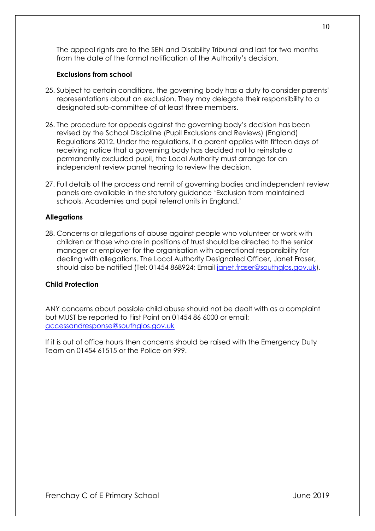The appeal rights are to the SEN and Disability Tribunal and last for two months from the date of the formal notification of the Authority's decision.

#### **Exclusions from school**

- 25. Subject to certain conditions, the governing body has a duty to consider parents' representations about an exclusion. They may delegate their responsibility to a designated sub-committee of at least three members.
- 26. The procedure for appeals against the governing body's decision has been revised by the School Discipline (Pupil Exclusions and Reviews) (England) Regulations 2012. Under the regulations, if a parent applies with fifteen days of receiving notice that a governing body has decided not to reinstate a permanently excluded pupil, the Local Authority must arrange for an independent review panel hearing to review the decision.
- 27. Full details of the process and remit of governing bodies and independent review panels are available in the statutory guidance 'Exclusion from maintained schools, Academies and pupil referral units in England.'

#### **Allegations**

28. Concerns or allegations of abuse against people who volunteer or work with children or those who are in positions of trust should be directed to the senior manager or employer for the organisation with operational responsibility for dealing with allegations. The Local Authority Designated Officer, Janet Fraser, should also be notified (Tel: 01454 868924; Email [janet.fraser@southglos.gov.uk\)](mailto:janet.fraser@southglos.gov.uk).

#### **Child Protection**

ANY concerns about possible child abuse should not be dealt with as a complaint but MUST be reported to First Point on 01454 86 6000 or email: [accessandresponse@southglos.gov.uk](mailto:accessandresponse@southglos.gov.uk)

If it is out of office hours then concerns should be raised with the Emergency Duty Team on 01454 61515 or the Police on 999.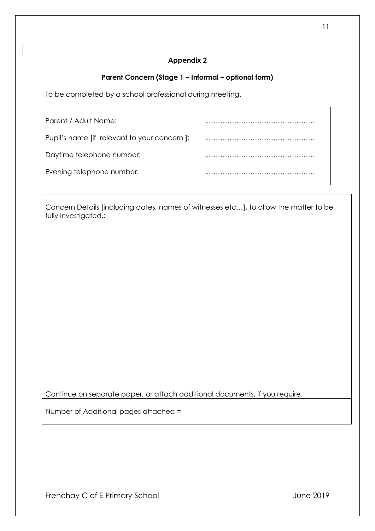## **Parent Concern (Stage 1 – Informal – optional form)**

To be completed by a school professional during meeting.

| Parent / Adult Name:                        |  |
|---------------------------------------------|--|
| Pupil's name [if relevant to your concern]: |  |
| Daytime telephone number:                   |  |
| Evening telephone number:                   |  |

Concern Details [including dates, names of witnesses etc…], to allow the matter to be fully investigated.:

Continue on separate paper, or attach additional documents, if you require.

Number of Additional pages attached =

Frenchay C of E Primary School and The Control of Library School and The 2019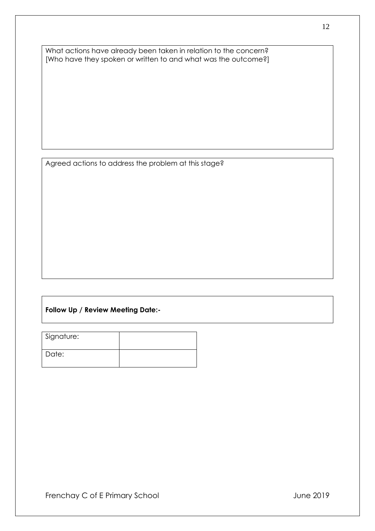What actions have already been taken in relation to the concern? [Who have they spoken or written to and what was the outcome?]

Agreed actions to address the problem at this stage?

## **Follow Up / Review Meeting Date:-**

| Signature: |  |
|------------|--|
| Date:      |  |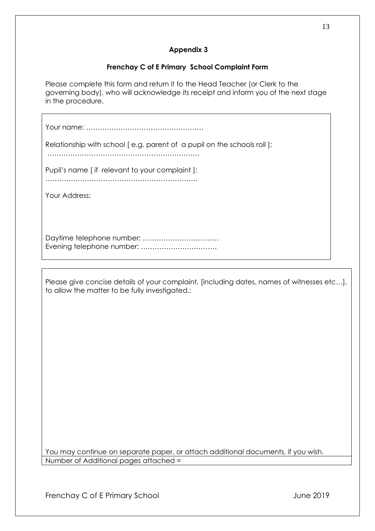## **Frenchay C of E Primary School Complaint Form**

Please complete this form and return it to the Head Teacher (or Clerk to the governing body), who will acknowledge its receipt and inform you of the next stage in the procedure.

Your name: ……………………………………………

Relationship with school [ e.g. parent of a pupil on the schools roll ]:

…………………………………………………………

Pupil's name [ if relevant to your complaint ]:

…………………………………………………………

Your Address:

Daytime telephone number: …………………………… Evening telephone number: ……………………………

Please give concise details of your complaint, [including dates, names of witnesses etc…], to allow the matter to be fully investigated.:

You may continue on separate paper, or attach additional documents, if you wish. Number of Additional pages attached =

Frenchay C of E Primary School and The Control of Library 3 June 2019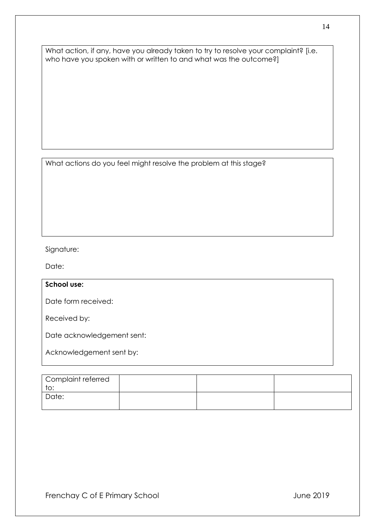What action, if any, have you already taken to try to resolve your complaint? [i.e. who have you spoken with or written to and what was the outcome?]

What actions do you feel might resolve the problem at this stage?

## Signature:

Date:

### **School use:**

Date form received:

Received by:

Date acknowledgement sent:

Acknowledgement sent by:

| Complaint referred |  |  |
|--------------------|--|--|
| to:<br>. ت         |  |  |
| Date:              |  |  |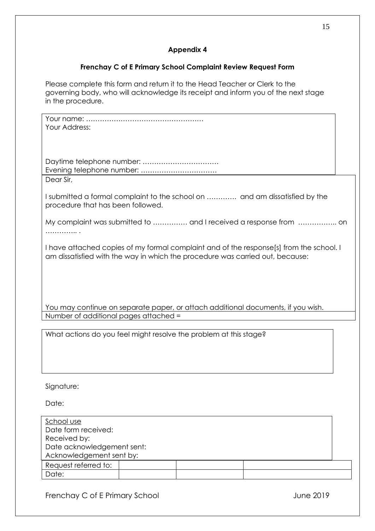## **Frenchay C of E Primary School Complaint Review Request Form**

Please complete this form and return it to the Head Teacher or Clerk to the governing body, who will acknowledge its receipt and inform you of the next stage in the procedure.

| Your Address:                                                                                                                                                            |  |
|--------------------------------------------------------------------------------------------------------------------------------------------------------------------------|--|
| Evening telephone number:                                                                                                                                                |  |
| Dear Sir,                                                                                                                                                                |  |
| I submitted a formal complaint to the school on  and am dissatisfied by the<br>procedure that has been followed.                                                         |  |
| My complaint was submitted to  and I received a response from  on                                                                                                        |  |
| I have attached copies of my formal complaint and of the response[s] from the school. I<br>am dissatisfied with the way in which the procedure was carried out, because: |  |
|                                                                                                                                                                          |  |
| You may continue on separate paper, or attach additional documents, if you wish.<br>Number of additional pages attached =                                                |  |
|                                                                                                                                                                          |  |
| What actions do you feel might resolve the problem at this stage?                                                                                                        |  |
| Signature:                                                                                                                                                               |  |
| Date:                                                                                                                                                                    |  |
| School use<br>Date form received:<br>Received by:<br>Date acknowledgement sent:<br>Acknowledgement sent by:                                                              |  |
| Request referred to:                                                                                                                                                     |  |

Frenchay C of E Primary School and The Control of the United States of the United States June 2019

Date: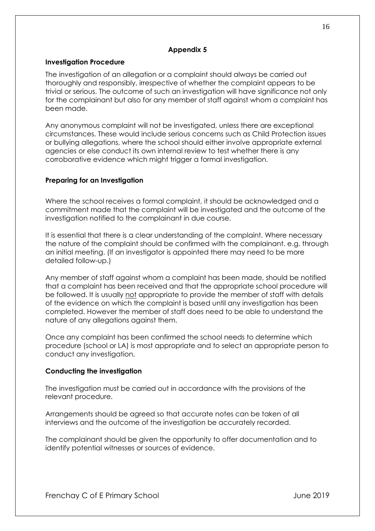### **Investigation Procedure**

The investigation of an allegation or a complaint should always be carried out thoroughly and responsibly, irrespective of whether the complaint appears to be trivial or serious. The outcome of such an investigation will have significance not only for the complainant but also for any member of staff against whom a complaint has been made.

Any anonymous complaint will not be investigated, unless there are exceptional circumstances. These would include serious concerns such as Child Protection issues or bullying allegations, where the school should either involve appropriate external agencies or else conduct its own internal review to test whether there is any corroborative evidence which might trigger a formal investigation.

## **Preparing for an Investigation**

Where the school receives a formal complaint, it should be acknowledged and a commitment made that the complaint will be investigated and the outcome of the investigation notified to the complainant in due course.

It is essential that there is a clear understanding of the complaint. Where necessary the nature of the complaint should be confirmed with the complainant. e.g. through an initial meeting. (If an investigator is appointed there may need to be more detailed follow-up.)

Any member of staff against whom a complaint has been made, should be notified that a complaint has been received and that the appropriate school procedure will be followed. It is usually not appropriate to provide the member of staff with details of the evidence on which the complaint is based until any investigation has been completed. However the member of staff does need to be able to understand the nature of any allegations against them.

Once any complaint has been confirmed the school needs to determine which procedure (school or LA) is most appropriate and to select an appropriate person to conduct any investigation.

## **Conducting the investigation**

The investigation must be carried out in accordance with the provisions of the relevant procedure.

Arrangements should be agreed so that accurate notes can be taken of all interviews and the outcome of the investigation be accurately recorded.

The complainant should be given the opportunity to offer documentation and to identify potential witnesses or sources of evidence.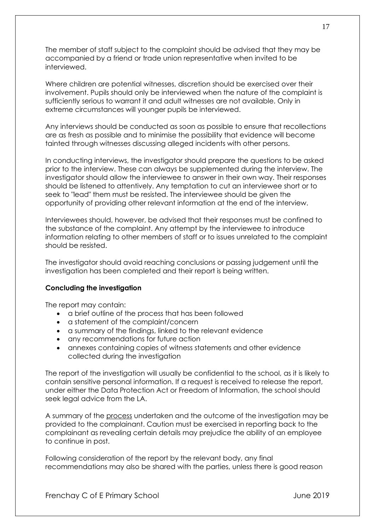The member of staff subject to the complaint should be advised that they may be accompanied by a friend or trade union representative when invited to be interviewed.

Where children are potential witnesses, discretion should be exercised over their involvement. Pupils should only be interviewed when the nature of the complaint is sufficiently serious to warrant it and adult witnesses are not available. Only in extreme circumstances will younger pupils be interviewed.

Any interviews should be conducted as soon as possible to ensure that recollections are as fresh as possible and to minimise the possibility that evidence will become tainted through witnesses discussing alleged incidents with other persons.

In conducting interviews, the investigator should prepare the questions to be asked prior to the interview. These can always be supplemented during the interview. The investigator should allow the interviewee to answer in their own way. Their responses should be listened to attentively. Any temptation to cut an interviewee short or to seek to "lead" them must be resisted. The interviewee should be given the opportunity of providing other relevant information at the end of the interview.

Interviewees should, however, be advised that their responses must be confined to the substance of the complaint. Any attempt by the interviewee to introduce information relating to other members of staff or to issues unrelated to the complaint should be resisted.

The investigator should avoid reaching conclusions or passing judgement until the investigation has been completed and their report is being written.

#### **Concluding the investigation**

The report may contain:

- a brief outline of the process that has been followed
- a statement of the complaint/concern
- a summary of the findings, linked to the relevant evidence
- any recommendations for future action
- annexes containing copies of witness statements and other evidence collected during the investigation

The report of the investigation will usually be confidential to the school, as it is likely to contain sensitive personal information. If a request is received to release the report, under either the Data Protection Act or Freedom of Information, the school should seek legal advice from the LA.

A summary of the process undertaken and the outcome of the investigation may be provided to the complainant. Caution must be exercised in reporting back to the complainant as revealing certain details may prejudice the ability of an employee to continue in post.

Following consideration of the report by the relevant body, any final recommendations may also be shared with the parties, unless there is good reason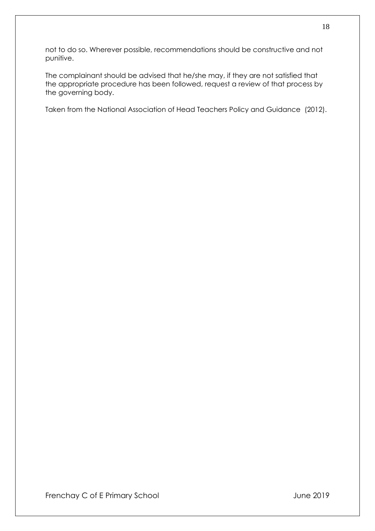not to do so. Wherever possible, recommendations should be constructive and not punitive.

The complainant should be advised that he/she may, if they are not satisfied that the appropriate procedure has been followed, request a review of that process by the governing body.

Taken from the National Association of Head Teachers Policy and Guidance (2012).